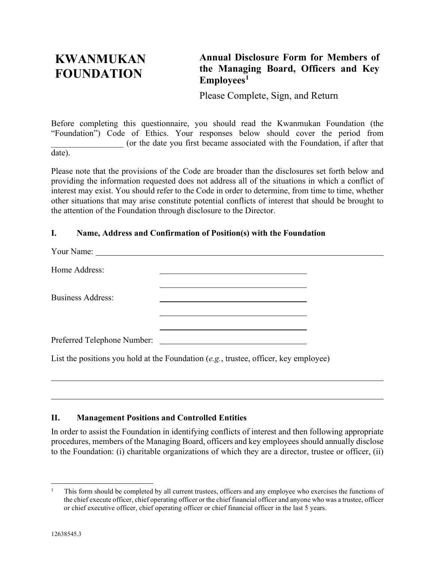# **KWANMUKAN FOUNDATION**

## **Annual Disclosure Form for Members of the Managing Board, Officers and Key Employees[1](#page-0-0)**

Please Complete, Sign, and Return

Before completing this questionnaire, you should read the Kwanmukan Foundation (the "Foundation") Code of Ethics. Your responses below should cover the period from (or the date you first became associated with the Foundation, if after that date).

Please note that the provisions of the Code are broader than the disclosures set forth below and providing the information requested does not address all of the situations in which a conflict of interest may exist. You should refer to the Code in order to determine, from time to time, whether other situations that may arise constitute potential conflicts of interest that should be brought to the attention of the Foundation through disclosure to the Director.

### **I. Name, Address and Confirmation of Position(s) with the Foundation**

| Home Address:            |                                                                                              |  |
|--------------------------|----------------------------------------------------------------------------------------------|--|
| <b>Business Address:</b> |                                                                                              |  |
|                          |                                                                                              |  |
|                          | List the positions you hold at the Foundation $(e.g., true)$ trustee, officer, key employee) |  |

### **II. Management Positions and Controlled Entities**

In order to assist the Foundation in identifying conflicts of interest and then following appropriate procedures, members of the Managing Board, officers and key employees should annually disclose to the Foundation: (i) charitable organizations of which they are a director, trustee or officer, (ii)

<span id="page-0-0"></span><sup>1</sup> This form should be completed by all current trustees, officers and any employee who exercises the functions of the chief execute officer, chief operating officer or the chief financial officer and anyone who was a trustee, officer or chief executive officer, chief operating officer or chief financial officer in the last 5 years.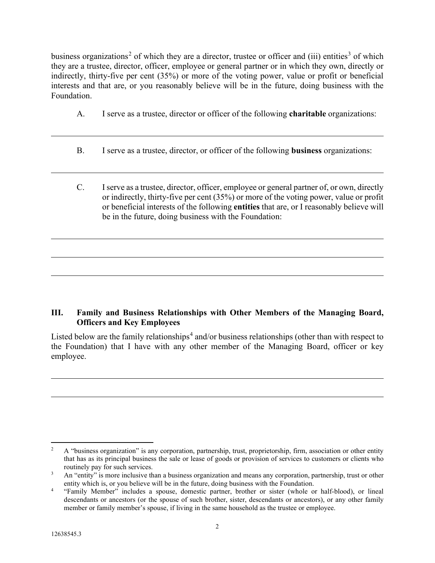business organizations<sup>[2](#page-1-0)</sup> of which they are a director, trustee or officer and (iii) entities<sup>[3](#page-1-1)</sup> of which they are a trustee, director, officer, employee or general partner or in which they own, directly or indirectly, thirty-five per cent (35%) or more of the voting power, value or profit or beneficial interests and that are, or you reasonably believe will be in the future, doing business with the Foundation.

- A. I serve as a trustee, director or officer of the following **charitable** organizations:
- B. I serve as a trustee, director, or officer of the following **business** organizations:
- C. I serve as a trustee, director, officer, employee or general partner of, or own, directly or indirectly, thirty-five per cent (35%) or more of the voting power, value or profit or beneficial interests of the following **entities** that are, or I reasonably believe will be in the future, doing business with the Foundation:

### **III. Family and Business Relationships with Other Members of the Managing Board, Officers and Key Employees**

Listed below are the family relationships<sup>[4](#page-1-2)</sup> and/or business relationships (other than with respect to the Foundation) that I have with any other member of the Managing Board, officer or key employee.

<span id="page-1-0"></span><sup>&</sup>lt;sup>2</sup> A "business organization" is any corporation, partnership, trust, proprietorship, firm, association or other entity that has as its principal business the sale or lease of goods or provision of services to customers or clients who routinely pay for such services.

<span id="page-1-1"></span><sup>&</sup>lt;sup>3</sup> An "entity" is more inclusive than a business organization and means any corporation, partnership, trust or other entity which is, or you believe will be in the future, doing business with the Foundation.

<span id="page-1-2"></span><sup>&</sup>quot;Family Member" includes a spouse, domestic partner, brother or sister (whole or half-blood), or lineal descendants or ancestors (or the spouse of such brother, sister, descendants or ancestors), or any other family member or family member's spouse, if living in the same household as the trustee or employee.